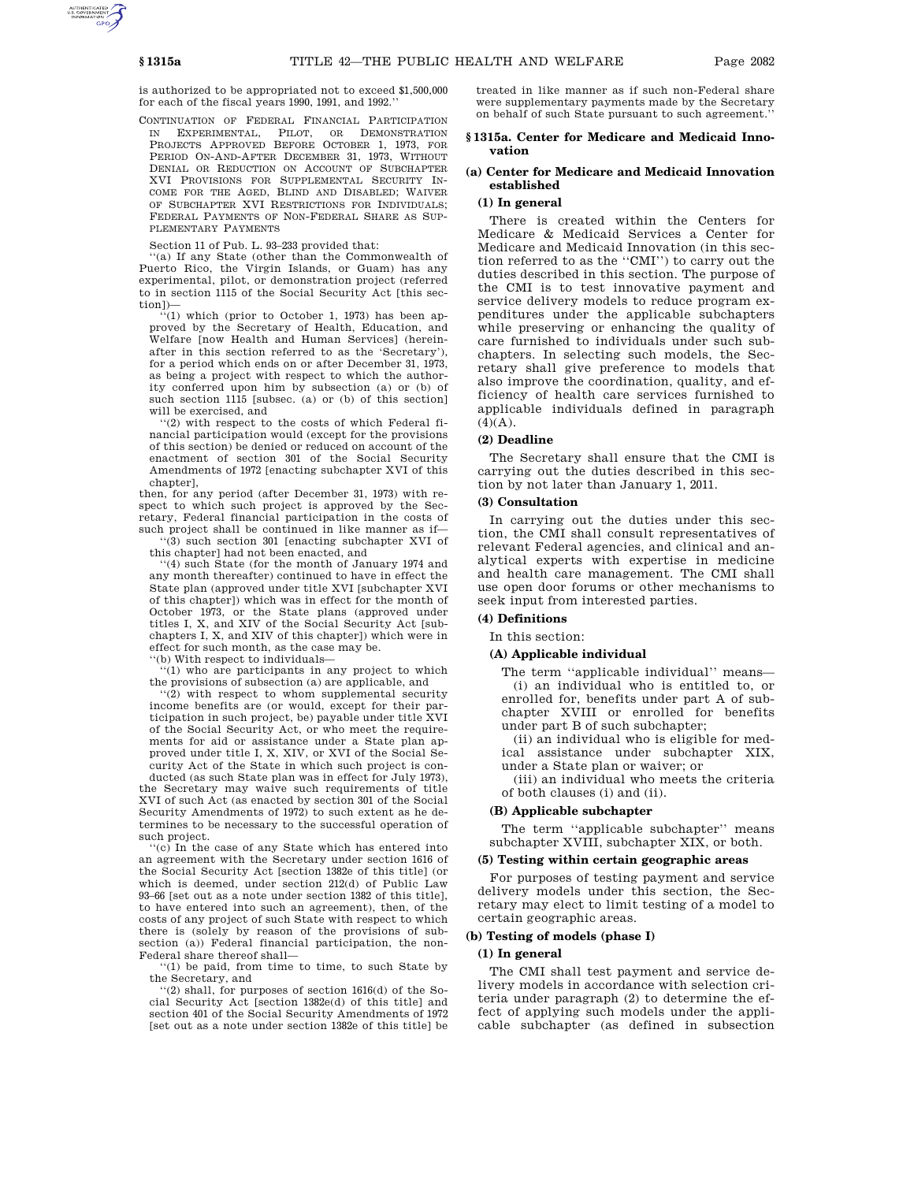is authorized to be appropriated not to exceed \$1,500,000 for each of the fiscal years 1990, 1991, and 1992.''

CONTINUATION OF FEDERAL FINANCIAL PARTICIPATION IN EXPERIMENTAL, PILOT, OR DEMONSTRATION PROJECTS APPROVED BEFORE OCTOBER 1, 1973, FOR PERIOD ON-AND-AFTER DECEMBER 31, 1973, WITHOUT DENIAL OR REDUCTION ON ACCOUNT OF SUBCHAPTER XVI PROVISIONS FOR SUPPLEMENTAL SECURITY IN-COME FOR THE AGED, BLIND AND DISABLED; WAIVER OF SUBCHAPTER XVI RESTRICTIONS FOR INDIVIDUALS; FEDERAL PAYMENTS OF NON-FEDERAL SHARE AS SUP-PLEMENTARY PAYMENTS

Section 11 of Pub. L. 93–233 provided that:

''(a) If any State (other than the Commonwealth of Puerto Rico, the Virgin Islands, or Guam) has any experimental, pilot, or demonstration project (referred to in section 1115 of the Social Security Act [this section])—

''(1) which (prior to October 1, 1973) has been approved by the Secretary of Health, Education, and Welfare [now Health and Human Services] (hereinafter in this section referred to as the 'Secretary'), for a period which ends on or after December 31, 1973, as being a project with respect to which the authority conferred upon him by subsection (a) or (b) of such section 1115 [subsec. (a) or (b) of this section] will be exercised, and

''(2) with respect to the costs of which Federal financial participation would (except for the provisions of this section) be denied or reduced on account of the enactment of section 301 of the Social Security Amendments of 1972 [enacting subchapter XVI of this chapter],

then, for any period (after December 31, 1973) with respect to which such project is approved by the Secretary, Federal financial participation in the costs of such project shall be continued in like manner as if—

''(3) such section 301 [enacting subchapter XVI of this chapter] had not been enacted, and

''(4) such State (for the month of January 1974 and any month thereafter) continued to have in effect the State plan (approved under title XVI [subchapter XVI of this chapter]) which was in effect for the month of October 1973, or the State plans (approved under titles I, X, and XIV of the Social Security Act [subchapters I, X, and XIV of this chapter]) which were in effect for such month, as the case may be.

''(b) With respect to individuals—

 $\dddot{ }$ (1) who are participants in any project to which the provisions of subsection (a) are applicable, and

 $(2)$  with respect to whom supplemental security income benefits are (or would, except for their participation in such project, be) payable under title XVI of the Social Security Act, or who meet the requirements for aid or assistance under a State plan approved under title I, X, XIV, or XVI of the Social Security Act of the State in which such project is con-

ducted (as such State plan was in effect for July 1973), the Secretary may waive such requirements of title XVI of such Act (as enacted by section 301 of the Social Security Amendments of 1972) to such extent as he determines to be necessary to the successful operation of such project.

''(c) In the case of any State which has entered into an agreement with the Secretary under section 1616 of the Social Security Act [section 1382e of this title] (or which is deemed, under section 212(d) of Public Law 93–66 [set out as a note under section 1382 of this title], to have entered into such an agreement), then, of the costs of any project of such State with respect to which there is (solely by reason of the provisions of subsection (a)) Federal financial participation, the non-Federal share thereof shall—

''(1) be paid, from time to time, to such State by the Secretary, and

''(2) shall, for purposes of section 1616(d) of the Social Security Act [section 1382e(d) of this title] and section 401 of the Social Security Amendments of 1972 [set out as a note under section 1382e of this title] be

treated in like manner as if such non-Federal share were supplementary payments made by the Secretary on behalf of such State pursuant to such agreement.

#### **§ 1315a. Center for Medicare and Medicaid Innovation**

#### **(a) Center for Medicare and Medicaid Innovation established**

#### **(1) In general**

There is created within the Centers for Medicare & Medicaid Services a Center for Medicare and Medicaid Innovation (in this section referred to as the ''CMI'') to carry out the duties described in this section. The purpose of the CMI is to test innovative payment and service delivery models to reduce program expenditures under the applicable subchapters while preserving or enhancing the quality of care furnished to individuals under such subchapters. In selecting such models, the Secretary shall give preference to models that also improve the coordination, quality, and efficiency of health care services furnished to applicable individuals defined in paragraph  $(4)(A)$ .

#### **(2) Deadline**

The Secretary shall ensure that the CMI is carrying out the duties described in this section by not later than January 1, 2011.

#### **(3) Consultation**

In carrying out the duties under this section, the CMI shall consult representatives of relevant Federal agencies, and clinical and analytical experts with expertise in medicine and health care management. The CMI shall use open door forums or other mechanisms to seek input from interested parties.

# **(4) Definitions**

In this section:

### **(A) Applicable individual**

The term ''applicable individual'' means— (i) an individual who is entitled to, or enrolled for, benefits under part A of subchapter XVIII or enrolled for benefits under part B of such subchapter;

(ii) an individual who is eligible for medical assistance under subchapter XIX, under a State plan or waiver; or

(iii) an individual who meets the criteria of both clauses (i) and (ii).

#### **(B) Applicable subchapter**

The term ''applicable subchapter'' means subchapter XVIII, subchapter XIX, or both.

## **(5) Testing within certain geographic areas**

For purposes of testing payment and service delivery models under this section, the Secretary may elect to limit testing of a model to certain geographic areas.

#### **(b) Testing of models (phase I)**

### **(1) In general**

The CMI shall test payment and service delivery models in accordance with selection criteria under paragraph (2) to determine the effect of applying such models under the applicable subchapter (as defined in subsection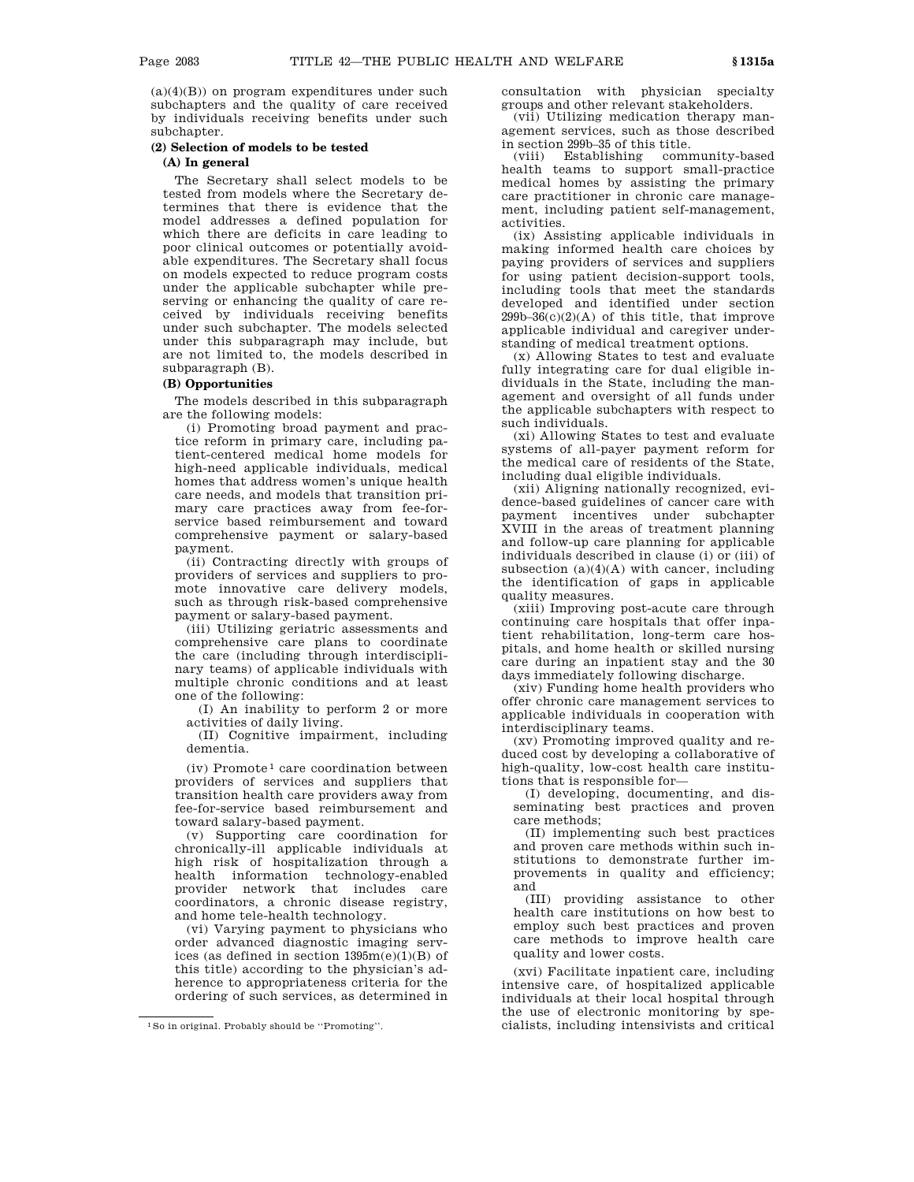$(a)(4)(B)$  on program expenditures under such subchapters and the quality of care received by individuals receiving benefits under such subchapter.

### **(2) Selection of models to be tested**

### **(A) In general**

The Secretary shall select models to be tested from models where the Secretary determines that there is evidence that the model addresses a defined population for which there are deficits in care leading to poor clinical outcomes or potentially avoidable expenditures. The Secretary shall focus on models expected to reduce program costs under the applicable subchapter while preserving or enhancing the quality of care received by individuals receiving benefits under such subchapter. The models selected under this subparagraph may include, but are not limited to, the models described in subparagraph (B).

#### **(B) Opportunities**

The models described in this subparagraph are the following models:

(i) Promoting broad payment and practice reform in primary care, including patient-centered medical home models for high-need applicable individuals, medical homes that address women's unique health care needs, and models that transition primary care practices away from fee-forservice based reimbursement and toward comprehensive payment or salary-based payment.

(ii) Contracting directly with groups of providers of services and suppliers to promote innovative care delivery models, such as through risk-based comprehensive payment or salary-based payment.

(iii) Utilizing geriatric assessments and comprehensive care plans to coordinate the care (including through interdisciplinary teams) of applicable individuals with multiple chronic conditions and at least one of the following:

(I) An inability to perform 2 or more activities of daily living.

(II) Cognitive impairment, including dementia.

(iv) Promote 1 care coordination between providers of services and suppliers that transition health care providers away from fee-for-service based reimbursement and toward salary-based payment.

(v) Supporting care coordination for chronically-ill applicable individuals at high risk of hospitalization through a health information technology-enabled provider network that includes care coordinators, a chronic disease registry, and home tele-health technology.

(vi) Varying payment to physicians who order advanced diagnostic imaging services (as defined in section  $1395m(e)(1)(B)$  of this title) according to the physician's adherence to appropriateness criteria for the ordering of such services, as determined in

consultation with physician specialty groups and other relevant stakeholders.

(vii) Utilizing medication therapy management services, such as those described in section 299b–35 of this title.

Establishing community-based health teams to support small-practice medical homes by assisting the primary care practitioner in chronic care management, including patient self-management, activities.

(ix) Assisting applicable individuals in making informed health care choices by paying providers of services and suppliers for using patient decision-support tools, including tools that meet the standards developed and identified under section  $299b-36(c)(2)(A)$  of this title, that improve applicable individual and caregiver understanding of medical treatment options.

(x) Allowing States to test and evaluate fully integrating care for dual eligible individuals in the State, including the management and oversight of all funds under the applicable subchapters with respect to such individuals.

(xi) Allowing States to test and evaluate systems of all-payer payment reform for the medical care of residents of the State, including dual eligible individuals.

(xii) Aligning nationally recognized, evidence-based guidelines of cancer care with payment incentives under subchapter XVIII in the areas of treatment planning and follow-up care planning for applicable individuals described in clause (i) or (iii) of subsection  $(a)(4)(A)$  with cancer, including the identification of gaps in applicable quality measures.

(xiii) Improving post-acute care through continuing care hospitals that offer inpatient rehabilitation, long-term care hospitals, and home health or skilled nursing care during an inpatient stay and the 30 days immediately following discharge.

(xiv) Funding home health providers who offer chronic care management services to applicable individuals in cooperation with interdisciplinary teams.

(xv) Promoting improved quality and reduced cost by developing a collaborative of high-quality, low-cost health care institutions that is responsible for—

(I) developing, documenting, and disseminating best practices and proven care methods;

(II) implementing such best practices and proven care methods within such institutions to demonstrate further improvements in quality and efficiency; and

(III) providing assistance to other health care institutions on how best to employ such best practices and proven care methods to improve health care quality and lower costs.

(xvi) Facilitate inpatient care, including intensive care, of hospitalized applicable individuals at their local hospital through the use of electronic monitoring by specialists, including intensivists and critical

<sup>1</sup>So in original. Probably should be ''Promoting''.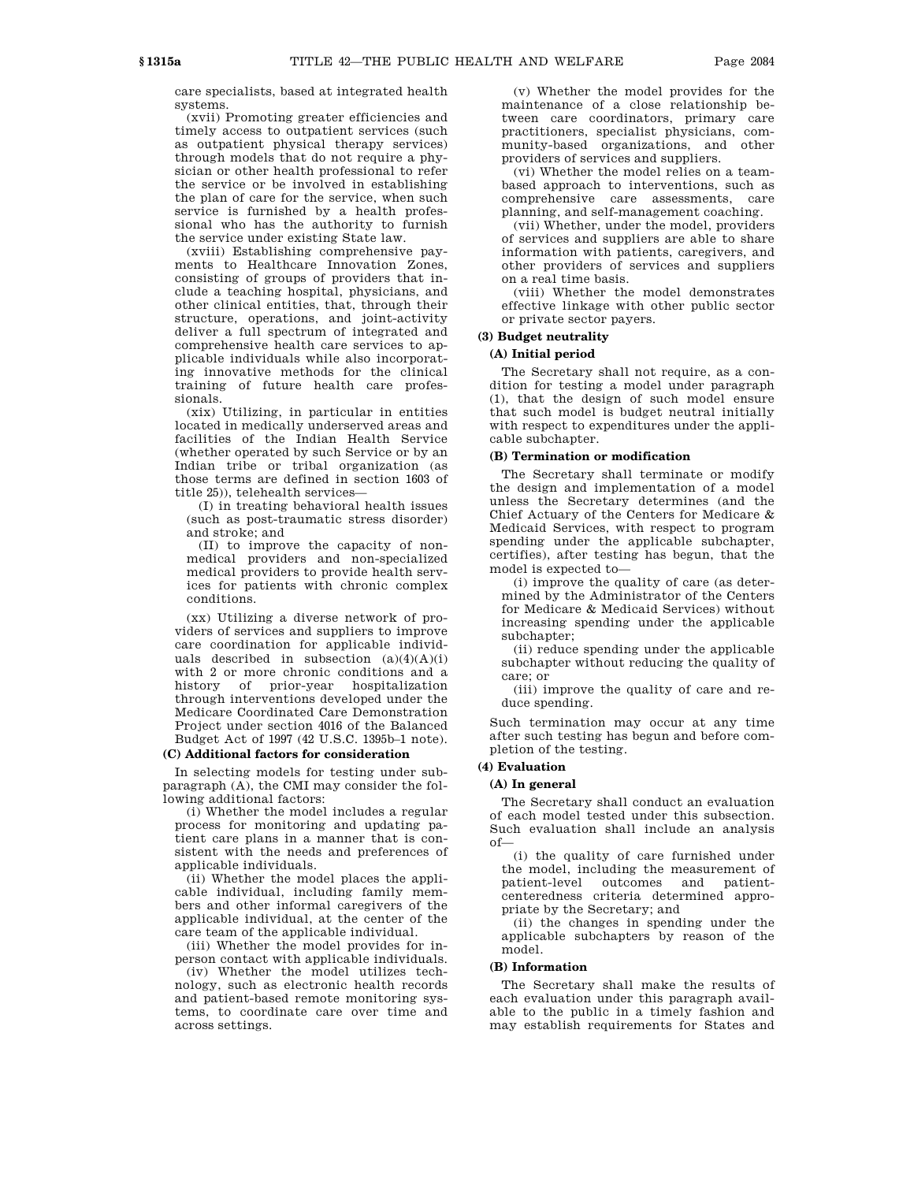care specialists, based at integrated health systems.

(xvii) Promoting greater efficiencies and timely access to outpatient services (such as outpatient physical therapy services) through models that do not require a physician or other health professional to refer the service or be involved in establishing the plan of care for the service, when such service is furnished by a health professional who has the authority to furnish the service under existing State law.

(xviii) Establishing comprehensive payments to Healthcare Innovation Zones, consisting of groups of providers that include a teaching hospital, physicians, and other clinical entities, that, through their structure, operations, and joint-activity deliver a full spectrum of integrated and comprehensive health care services to applicable individuals while also incorporating innovative methods for the clinical training of future health care professionals.

(xix) Utilizing, in particular in entities located in medically underserved areas and facilities of the Indian Health Service (whether operated by such Service or by an Indian tribe or tribal organization (as those terms are defined in section 1603 of title 25)), telehealth services—

(I) in treating behavioral health issues (such as post-traumatic stress disorder) and stroke; and

(II) to improve the capacity of nonmedical providers and non-specialized medical providers to provide health services for patients with chronic complex conditions.

(xx) Utilizing a diverse network of providers of services and suppliers to improve care coordination for applicable individuals described in subsection  $(a)(4)(A)(i)$ with 2 or more chronic conditions and a history of prior-year hospitalization through interventions developed under the Medicare Coordinated Care Demonstration Project under section 4016 of the Balanced Budget Act of 1997 (42 U.S.C. 1395b–1 note).

#### **(C) Additional factors for consideration**

In selecting models for testing under subparagraph (A), the CMI may consider the following additional factors:

(i) Whether the model includes a regular process for monitoring and updating patient care plans in a manner that is consistent with the needs and preferences of applicable individuals.

(ii) Whether the model places the applicable individual, including family members and other informal caregivers of the applicable individual, at the center of the care team of the applicable individual.

(iii) Whether the model provides for inperson contact with applicable individuals.

(iv) Whether the model utilizes technology, such as electronic health records and patient-based remote monitoring systems, to coordinate care over time and across settings.

(v) Whether the model provides for the maintenance of a close relationship between care coordinators, primary care practitioners, specialist physicians, community-based organizations, and other providers of services and suppliers.

(vi) Whether the model relies on a teambased approach to interventions, such as comprehensive care assessments, care planning, and self-management coaching.

(vii) Whether, under the model, providers of services and suppliers are able to share information with patients, caregivers, and other providers of services and suppliers on a real time basis.

(viii) Whether the model demonstrates effective linkage with other public sector or private sector payers.

#### **(3) Budget neutrality**

### **(A) Initial period**

The Secretary shall not require, as a condition for testing a model under paragraph (1), that the design of such model ensure that such model is budget neutral initially with respect to expenditures under the applicable subchapter.

### **(B) Termination or modification**

The Secretary shall terminate or modify the design and implementation of a model unless the Secretary determines (and the Chief Actuary of the Centers for Medicare & Medicaid Services, with respect to program spending under the applicable subchapter, certifies), after testing has begun, that the model is expected to—

(i) improve the quality of care (as determined by the Administrator of the Centers for Medicare & Medicaid Services) without increasing spending under the applicable subchapter;

(ii) reduce spending under the applicable subchapter without reducing the quality of care; or

(iii) improve the quality of care and reduce spending.

Such termination may occur at any time after such testing has begun and before completion of the testing.

### **(4) Evaluation**

#### **(A) In general**

The Secretary shall conduct an evaluation of each model tested under this subsection. Such evaluation shall include an analysis  $of$ 

(i) the quality of care furnished under the model, including the measurement of patient-level outcomes and patientcenteredness criteria determined appropriate by the Secretary; and

(ii) the changes in spending under the applicable subchapters by reason of the model.

#### **(B) Information**

The Secretary shall make the results of each evaluation under this paragraph available to the public in a timely fashion and may establish requirements for States and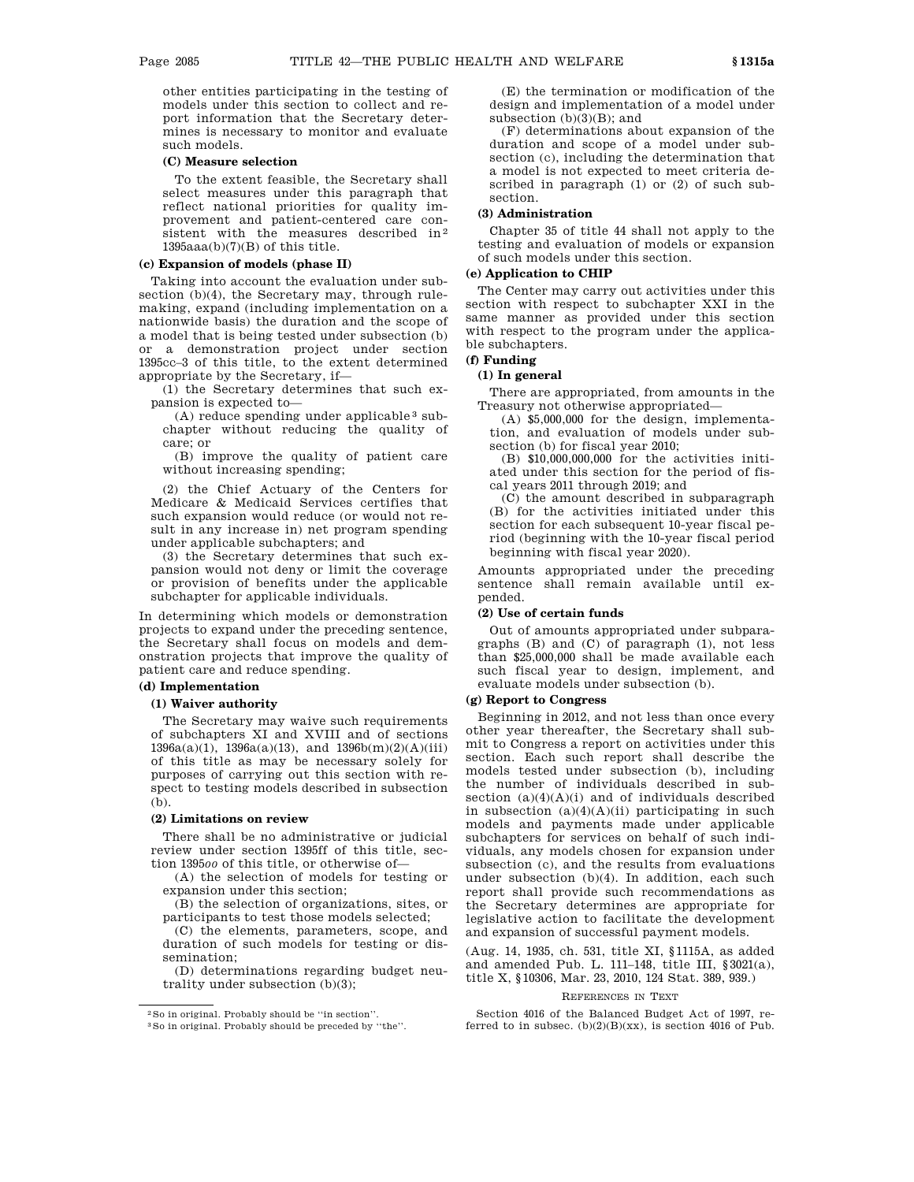other entities participating in the testing of models under this section to collect and report information that the Secretary determines is necessary to monitor and evaluate such models.

### **(C) Measure selection**

To the extent feasible, the Secretary shall select measures under this paragraph that reflect national priorities for quality improvement and patient-centered care consistent with the measures described in2  $1395$ aaa $(b)(7)(B)$  of this title.

### **(c) Expansion of models (phase II)**

Taking into account the evaluation under subsection (b)(4), the Secretary may, through rulemaking, expand (including implementation on a nationwide basis) the duration and the scope of a model that is being tested under subsection (b) or a demonstration project under section 1395cc–3 of this title, to the extent determined appropriate by the Secretary, if—

(1) the Secretary determines that such expansion is expected to—

(A) reduce spending under applicable 3 subchapter without reducing the quality of care; or

(B) improve the quality of patient care without increasing spending;

(2) the Chief Actuary of the Centers for Medicare & Medicaid Services certifies that such expansion would reduce (or would not result in any increase in) net program spending under applicable subchapters; and

(3) the Secretary determines that such expansion would not deny or limit the coverage or provision of benefits under the applicable subchapter for applicable individuals.

In determining which models or demonstration projects to expand under the preceding sentence, the Secretary shall focus on models and demonstration projects that improve the quality of patient care and reduce spending.

#### **(d) Implementation**

### **(1) Waiver authority**

The Secretary may waive such requirements of subchapters XI and XVIII and of sections 1396a(a)(1), 1396a(a)(13), and 1396b(m)(2)(A)(iii) of this title as may be necessary solely for purposes of carrying out this section with respect to testing models described in subsection (b).

### **(2) Limitations on review**

There shall be no administrative or judicial review under section 1395ff of this title, section 1395*oo* of this title, or otherwise of—

(A) the selection of models for testing or expansion under this section;

(B) the selection of organizations, sites, or participants to test those models selected;

(C) the elements, parameters, scope, and duration of such models for testing or dissemination;

(D) determinations regarding budget neutrality under subsection (b)(3);

(E) the termination or modification of the design and implementation of a model under subsection (b)(3)(B); and

(F) determinations about expansion of the duration and scope of a model under subsection (c), including the determination that a model is not expected to meet criteria described in paragraph (1) or (2) of such subsection.

### **(3) Administration**

Chapter 35 of title 44 shall not apply to the testing and evaluation of models or expansion of such models under this section.

### **(e) Application to CHIP**

The Center may carry out activities under this section with respect to subchapter XXI in the same manner as provided under this section with respect to the program under the applicable subchapters.

# **(f) Funding**

# **(1) In general**

There are appropriated, from amounts in the Treasury not otherwise appropriated—

(A) \$5,000,000 for the design, implementation, and evaluation of models under subsection (b) for fiscal year 2010;

(B) \$10,000,000,000 for the activities initiated under this section for the period of fiscal years 2011 through 2019; and

(C) the amount described in subparagraph (B) for the activities initiated under this section for each subsequent 10-year fiscal period (beginning with the 10-year fiscal period beginning with fiscal year 2020).

Amounts appropriated under the preceding sentence shall remain available until expended.

#### **(2) Use of certain funds**

Out of amounts appropriated under subparagraphs (B) and (C) of paragraph (1), not less than \$25,000,000 shall be made available each such fiscal year to design, implement, and evaluate models under subsection (b).

### **(g) Report to Congress**

Beginning in 2012, and not less than once every other year thereafter, the Secretary shall submit to Congress a report on activities under this section. Each such report shall describe the models tested under subsection (b), including the number of individuals described in subsection  $(a)(4)(A)(i)$  and of individuals described in subsection  $(a)(4)(A)(ii)$  participating in such models and payments made under applicable subchapters for services on behalf of such individuals, any models chosen for expansion under subsection (c), and the results from evaluations under subsection (b)(4). In addition, each such report shall provide such recommendations as the Secretary determines are appropriate for legislative action to facilitate the development and expansion of successful payment models.

(Aug. 14, 1935, ch. 531, title XI, §1115A, as added and amended Pub. L. 111–148, title III, §3021(a), title X, §10306, Mar. 23, 2010, 124 Stat. 389, 939.)

#### REFERENCES IN TEXT

Section 4016 of the Balanced Budget Act of 1997, referred to in subsec.  $(b)(2)(B)(xx)$ , is section 4016 of Pub.

<sup>2</sup>So in original. Probably should be ''in section''.

<sup>3</sup>So in original. Probably should be preceded by ''the''.